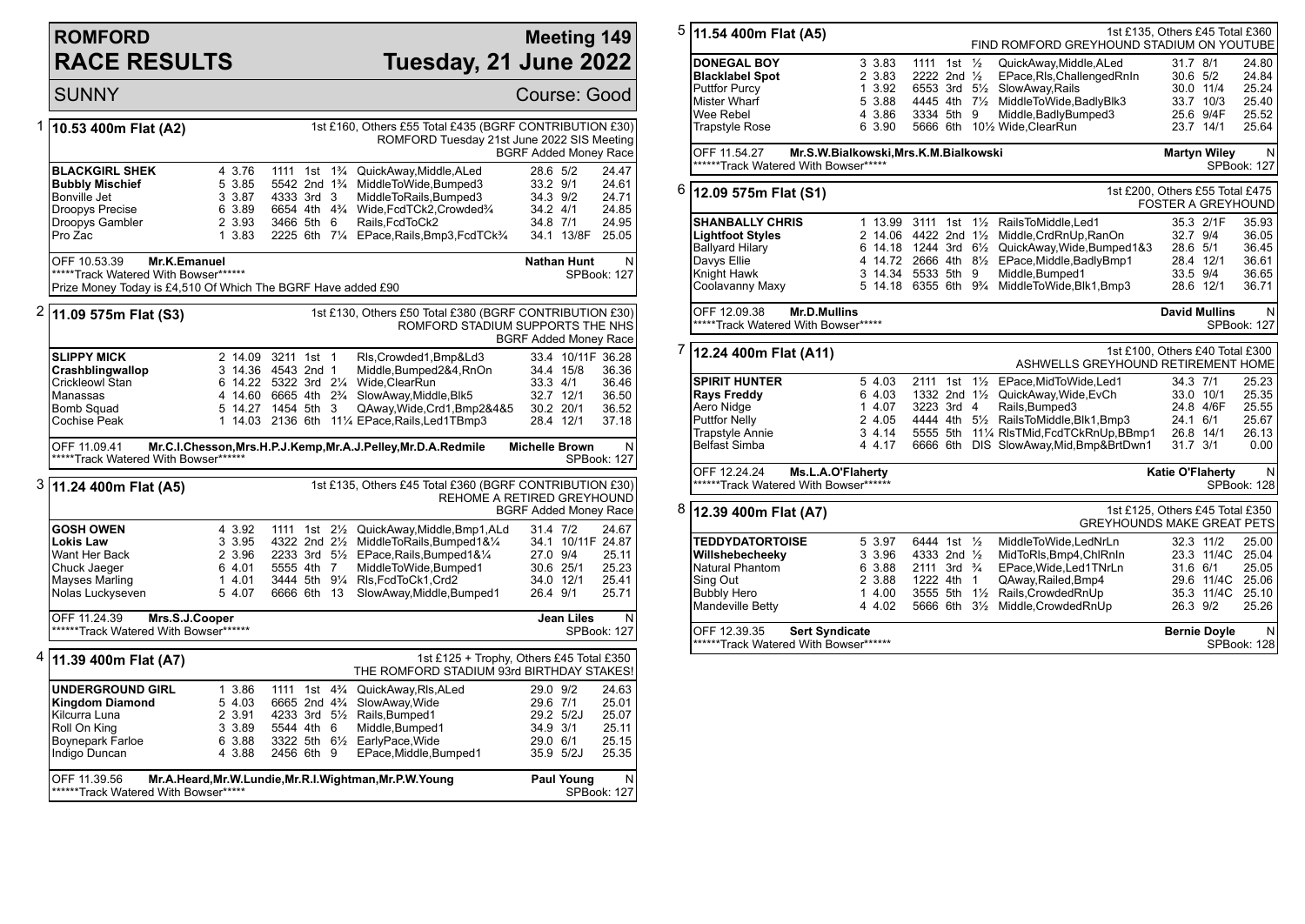## **ROMFORD RACE RESULTS**

## **Meeting 149 Tuesday, 21 June 2022**

|                                                                                                                                                          | SUNNY                                                                                                                                |                                                          |                                                                                                                          |  |                                                                                                                                                                                                                                                                  |                                                          |                                                  | Course: Good                                                   |
|----------------------------------------------------------------------------------------------------------------------------------------------------------|--------------------------------------------------------------------------------------------------------------------------------------|----------------------------------------------------------|--------------------------------------------------------------------------------------------------------------------------|--|------------------------------------------------------------------------------------------------------------------------------------------------------------------------------------------------------------------------------------------------------------------|----------------------------------------------------------|--------------------------------------------------|----------------------------------------------------------------|
| 1                                                                                                                                                        | 10.53 400m Flat (A2)                                                                                                                 |                                                          |                                                                                                                          |  | 1st £160, Others £55 Total £435 (BGRF CONTRIBUTION £30)<br>ROMFORD Tuesday 21st June 2022 SIS Meeting                                                                                                                                                            |                                                          |                                                  | <b>BGRF Added Money Race</b>                                   |
|                                                                                                                                                          | <b>BLACKGIRL SHEK</b><br><b>Bubbly Mischief</b><br>Bonville Jet<br>Droopys Precise<br>Droopys Gambler<br>Pro Zac                     | 4 3.76<br>5 3.85<br>3 3.87<br>6 3.89<br>2 3.93<br>1 3.83 | 1111 1st<br>5542 2nd 1 <sup>3</sup> / <sub>4</sub><br>4333 3rd 3<br>6654 4th 4 <sup>3</sup> / <sub>4</sub><br>3466 5th 6 |  | 1 <sup>3</sup> / <sub>4</sub> QuickAway, Middle, ALed<br>MiddleToWide, Bumped3<br>MiddleToRails, Bumped3<br>Wide, FcdTCk2, Crowded3/4<br>Rails, FcdToCk2<br>2225 6th 71/4 EPace, Rails, Bmp3, FcdTCk3/4                                                          | 28.6 5/2<br>33.2 9/1<br>34.3 9/2<br>34.2 4/1<br>34.8 7/1 | 34.1 13/8F                                       | 24.47<br>24.61<br>24.71<br>24.85<br>24.95<br>25.05             |
|                                                                                                                                                          | OFF 10.53.39<br>Mr.K.Emanuel<br>*****Track Watered With Bowser******<br>Prize Money Today is £4,510 Of Which The BGRF Have added £90 |                                                          |                                                                                                                          |  |                                                                                                                                                                                                                                                                  | <b>Nathan Hunt</b>                                       |                                                  | N<br>SPBook: 127                                               |
| 2<br>1st £130, Others £50 Total £380 (BGRF CONTRIBUTION £30)<br>11.09 575m Flat (S3)<br>ROMFORD STADIUM SUPPORTS THE NHS<br><b>BGRF Added Money Race</b> |                                                                                                                                      |                                                          |                                                                                                                          |  |                                                                                                                                                                                                                                                                  |                                                          |                                                  |                                                                |
|                                                                                                                                                          | <b>SLIPPY MICK</b><br>Crashblingwallop<br>Crickleowl Stan<br>Manassas<br>Bomb Squad<br>Cochise Peak                                  |                                                          | 2 14.09 3211 1st 1<br>3 14.36 4543 2nd 1<br>5 14.27 1454 5th 3                                                           |  | Rls, Crowded 1, Bmp&Ld3<br>Middle, Bumped 2&4, RnOn<br>6 14.22 5322 3rd 21/4 Wide, Clear Run<br>4 14.60 6665 4th 2 <sup>3</sup> / <sub>4</sub> SlowAway, Middle, Blk5<br>QAway, Wide, Crd1, Bmp2&4&5<br>1 14.03 2136 6th 111/4 EPace, Rails, Led 1 TBmp3         | 33.3 4/1                                                 | 34.4 15/8<br>32.7 12/1<br>30.2 20/1<br>28.4 12/1 | 33.4 10/11F 36.28<br>36.36<br>36.46<br>36.50<br>36.52<br>37.18 |
|                                                                                                                                                          | OFF 11.09.41<br>*****Track Watered With Bowser******                                                                                 |                                                          |                                                                                                                          |  | Mr.C.I.Chesson, Mrs.H.P.J.Kemp, Mr.A.J.Pelley, Mr.D.A.Redmile                                                                                                                                                                                                    | <b>Michelle Brown</b>                                    |                                                  | N<br>SPBook: 127                                               |
| 3                                                                                                                                                        | 11.24 400m Flat (A5)                                                                                                                 |                                                          |                                                                                                                          |  | 1st £135, Others £45 Total £360 (BGRF CONTRIBUTION £30)<br><b>REHOME A RETIRED GREYHOUND</b>                                                                                                                                                                     |                                                          |                                                  | <b>BGRF Added Money Race</b>                                   |
|                                                                                                                                                          | <b>GOSH OWEN</b><br><b>Lokis Law</b><br>Want Her Back<br>Chuck Jaeger<br>Mayses Marling<br>Nolas Luckyseven                          | 4 3.92<br>3 3.95<br>2 3.96<br>6 4.01<br>14.01<br>5 4.07  | 5555 4th 7<br>6666 6th 13                                                                                                |  | 1111 1st 21/ <sub>2</sub> QuickAway, Middle, Bmp1, ALd<br>4322 2nd 21/ <sub>2</sub> MiddleToRails, Bumped 1&1/ <sub>4</sub><br>2233 3rd 51/2 EPace, Rails, Bumped 1& 1/4<br>MiddleToWide,Bumped1<br>3444 5th 91/4 RIs, FcdToCk1, Crd2<br>SlowAway,Middle,Bumped1 | 31.4 7/2<br>27.0 9/4<br>26.4 9/1                         | 30.6 25/1<br>34.0 12/1                           | 24.67<br>34.1 10/11F 24.87<br>25.11<br>25.23<br>25.41<br>25.71 |
| OFF 11.24.39<br>Mrs.S.J.Cooper<br>******Track Watered With Bowser******                                                                                  |                                                                                                                                      |                                                          |                                                                                                                          |  |                                                                                                                                                                                                                                                                  |                                                          |                                                  | Jean Liles<br>N<br><b>SPBook: 127</b>                          |
| 4                                                                                                                                                        | 11.39 400m Flat (A7)                                                                                                                 |                                                          |                                                                                                                          |  | 1st £125 + Trophy, Others £45 Total £350<br>THE ROMFORD STADIUM 93rd BIRTHDAY STAKES!                                                                                                                                                                            |                                                          |                                                  |                                                                |
|                                                                                                                                                          | <b>UNDERGROUND GIRL</b><br><b>Kingdom Diamond</b><br>Kilcurra Luna<br>Roll On King<br>Boynepark Farloe<br>Indigo Duncan              | 1 3.86<br>5 4.03<br>2 3.91<br>3 3.89<br>6 3.88<br>4 3.88 | 1111 1st 4 <sup>3</sup> / <sub>4</sub><br>6665 2nd 4 <sup>3</sup> / <sub>4</sub><br>5544 4th 6<br>2456 6th 9             |  | QuickAway, RIs, ALed<br>SlowAway, Wide<br>4233 3rd 51/2 Rails, Bumped1<br>Middle, Bumped1<br>3322 5th 61/2 EarlyPace, Wide<br>EPace, Middle, Bumped1                                                                                                             | 29.0 9/2<br>29.6 7/1<br>34.9 3/1<br>29.0 6/1             | 29.2 5/2J<br>35.9 5/2J                           | 24.63<br>25.01<br>25.07<br>25.11<br>25.15<br>25.35             |
|                                                                                                                                                          | OFF 11.39.56                                                                                                                         |                                                          | Mr.A.Heard, Mr.W.Lundie, Mr.R.I.Wightman, Mr.P.W.Young                                                                   |  |                                                                                                                                                                                                                                                                  |                                                          | <b>Paul Young</b>                                | N                                                              |

| UFF 11.39.56 | Mr.A.Heard,Mr.W.Lundie,Mr.R.I.Wightman,Mr.P.W.Young | Paul roung<br>NL |
|--------------|-----------------------------------------------------|------------------|
|              | ******Track Watered With Bowser*****                | SPBook: 127      |
|              |                                                     |                  |

| 5 |                                                                                                      |                                       |                                      |  |                |                                                                       |                           |                        |                  |
|---|------------------------------------------------------------------------------------------------------|---------------------------------------|--------------------------------------|--|----------------|-----------------------------------------------------------------------|---------------------------|------------------------|------------------|
|   | 1st £135, Others £45 Total £360<br>11.54 400m Flat (A5)<br>FIND ROMFORD GREYHOUND STADIUM ON YOUTUBE |                                       |                                      |  |                |                                                                       |                           |                        |                  |
|   | <b>DONEGAL BOY</b>                                                                                   | 3 3.83                                | 1111 1st<br>2222 2nd 1/ <sub>2</sub> |  | $\frac{1}{2}$  | QuickAway,Middle,ALed                                                 | 31.7 8/1                  |                        | 24.80<br>24.84   |
|   | <b>Blacklabel Spot</b>                                                                               | 2 3.83<br>1 3.92                      |                                      |  |                | EPace, RIs, Challenged RnIn<br>SlowAway, Rails                        | 30.6 5/2                  |                        | 25.24            |
|   | <b>Puttfor Purcy</b><br>Mister Wharf                                                                 | 5 3.88                                | 6553 3rd 5½                          |  |                | 4445 4th 71/2 MiddleToWide, BadlyBlk3                                 |                           | 30.0 11/4<br>33.7 10/3 | 25.40            |
|   | Wee Rebel                                                                                            | 4 3.86                                | 3334 5th                             |  | 9              | Middle, BadlyBumped3                                                  |                           | 25.6 9/4F              | 25.52            |
|   | <b>Trapstyle Rose</b>                                                                                | 6 3.90                                |                                      |  |                | 5666 6th 101/2 Wide, ClearRun                                         |                           | 23.7 14/1              | 25.64            |
|   |                                                                                                      |                                       |                                      |  |                |                                                                       |                           |                        |                  |
|   | OFF 11.54.27<br>******Track Watered With Bowser*****                                                 | Mr.S.W.Bialkowski, Mrs.K.M.Bialkowski |                                      |  |                |                                                                       |                           | <b>Martyn Wiley</b>    | N<br>SPBook: 127 |
| 6 | 12.09 575m Flat (S1)                                                                                 |                                       |                                      |  |                | 1st £200, Others £55 Total £475                                       | <b>FOSTER A GREYHOUND</b> |                        |                  |
|   | <b>SHANBALLY CHRIS</b>                                                                               | 1 13.99                               |                                      |  |                | 3111 1st 11/2 RailsToMiddle, Led1                                     |                           | 35.3 2/1F              | 35.93            |
|   | <b>Lightfoot Styles</b>                                                                              | 2 14.06 4422 2nd 11/2                 |                                      |  |                | Middle, CrdRnUp, RanOn                                                | 32.7 9/4                  |                        | 36.05            |
|   | Ballyard Hilary                                                                                      |                                       |                                      |  |                | 6 14.18 1244 3rd 61/2 QuickAway, Wide, Bumped 1&3                     | 28.6 5/1                  |                        | 36.45            |
|   | Davys Ellie                                                                                          | 4 14.72                               |                                      |  |                | 2666 4th 81/2 EPace, Middle, Badly Bmp1                               |                           | 28.4 12/1              | 36.61            |
|   | Knight Hawk                                                                                          | 3 14.34 5533 5th 9                    |                                      |  |                | Middle, Bumped1                                                       | 33.5 9/4                  |                        | 36.65            |
|   | Coolavanny Maxy                                                                                      |                                       |                                      |  |                | 5 14.18 6355 6th 9 <sup>3</sup> /4 MiddleToWide, Blk1, Bmp3           |                           | 28.6 12/1              | 36.71            |
|   | OFF 12.09.38<br><b>Mr.D.Mullins</b><br>*****Track Watered With Bowser*****                           |                                       |                                      |  |                |                                                                       |                           | <b>David Mullins</b>   | N<br>SPBook: 127 |
| 7 | 12.24 400m Flat (A11)                                                                                |                                       |                                      |  |                | 1st £100, Others £40 Total £300<br>ASHWELLS GREYHOUND RETIREMENT HOME |                           |                        |                  |
|   |                                                                                                      |                                       |                                      |  |                |                                                                       |                           |                        |                  |
|   | <b>SPIRIT HUNTER</b>                                                                                 | 5 4.03                                |                                      |  |                | 2111 1st 11/2 EPace.MidToWide.Led1                                    | 34.3 7/1                  |                        | 25.23            |
|   | <b>Rays Freddy</b>                                                                                   | 6 4.03                                |                                      |  |                | 1332 2nd 11/2 QuickAway, Wide, EvCh                                   |                           | 33.0 10/1              | 25.35            |
|   | Aero Nidge                                                                                           | 14.07                                 | 3223 3rd 4                           |  |                | Rails, Bumped3                                                        |                           | 24.8 4/6F              | 25.55            |
|   | <b>Puttfor Nelly</b>                                                                                 | 2 4.05                                |                                      |  |                | 4444 4th 51/2 RailsToMiddle, Blk1, Bmp3                               | 24.1 6/1                  |                        | 25.67            |
|   | <b>Trapstyle Annie</b>                                                                               | 3, 4.14                               |                                      |  |                | 5555 5th 111/4 RIsTMid, FcdTCkRnUp, BBmp1                             |                           | 26.8 14/1              | 26.13            |
|   | Belfast Simba                                                                                        | 4 4.17                                |                                      |  |                | 6666 6th DIS SlowAway, Mid, Bmp& BrtDwn1                              | $31.7$ $3/1$              |                        | 0.00             |
|   | OFF 12.24.24<br>Ms.L.A.O'Flaherty<br>******Track Watered With Bowser******                           |                                       |                                      |  |                |                                                                       | <b>Katie O'Flaherty</b>   |                        | N<br>SPBook: 128 |
| 8 | 12.39 400m Flat (A7)                                                                                 |                                       |                                      |  |                | 1st £125, Others £45 Total £350<br><b>GREYHOUNDS MAKE GREAT PETS</b>  |                           |                        |                  |
|   | <b>TEDDYDATORTOISE</b>                                                                               | 5 3.97                                | 6444 1st 1/2                         |  |                | MiddleToWide,LedNrLn                                                  |                           | 32.3 11/2              | 25.00            |
|   | Willshebecheekv                                                                                      | 3 3.96                                | 4333 2nd 1/2                         |  |                | MidToRIs, Bmp4, ChlRnIn                                               |                           | 23.3 11/4C             | 25.04            |
|   | Natural Phantom                                                                                      | 6 3.88                                | 2111 3rd $\frac{3}{4}$               |  |                | EPace, Wide, Led1TNrLn                                                | 31.6 6/1                  |                        | 25.05            |
|   | Sing Out                                                                                             | 2 3.88                                | 1222 4th 1                           |  |                | QAway, Railed, Bmp4                                                   |                           |                        | 29.6 11/4C 25.06 |
|   | <b>Bubbly Hero</b>                                                                                   | 1, 4.00                               |                                      |  |                | 3555 5th 11/2 Rails, Crowded RnUp                                     |                           | 35.3 11/4C             | 25.10            |
|   | Mandeville Betty                                                                                     | 4 4.02                                | 5666 6th                             |  | $3\frac{1}{2}$ | Middle, Crowded RnUp                                                  | 26.3 9/2                  |                        | 25.26            |